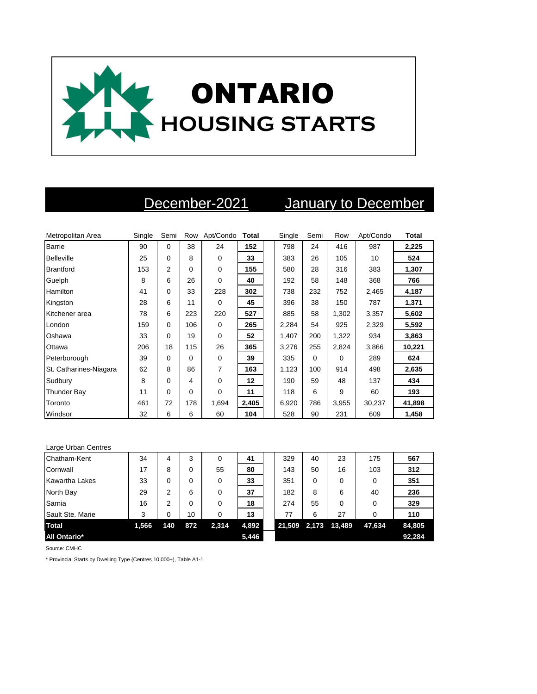

## December-2021 January to December

| Metropolitan Area      | Single | Semi     | Row         | Apt/Condo Total |       | Single | Semi | Row      | Apt/Condo | Total  |
|------------------------|--------|----------|-------------|-----------------|-------|--------|------|----------|-----------|--------|
| Barrie                 | 90     | $\Omega$ | 38          | 24              | 152   | 798    | 24   | 416      | 987       | 2,225  |
| <b>Belleville</b>      | 25     | 0        | 8           | 0               | 33    | 383    | 26   | 105      | 10        | 524    |
| <b>Brantford</b>       | 153    | 2        | $\mathbf 0$ | $\mathbf 0$     | 155   | 580    | 28   | 316      | 383       | 1,307  |
| Guelph                 | 8      | 6        | 26          | $\Omega$        | 40    | 192    | 58   | 148      | 368       | 766    |
| Hamilton               | 41     | 0        | 33          | 228             | 302   | 738    | 232  | 752      | 2,465     | 4,187  |
| Kingston               | 28     | 6        | 11          | $\Omega$        | 45    | 396    | 38   | 150      | 787       | 1,371  |
| Kitchener area         | 78     | 6        | 223         | 220             | 527   | 885    | 58   | 1,302    | 3,357     | 5,602  |
| London                 | 159    | 0        | 106         | $\mathbf 0$     | 265   | 2,284  | 54   | 925      | 2,329     | 5,592  |
| Oshawa                 | 33     | 0        | 19          | $\mathbf 0$     | 52    | 1,407  | 200  | 1,322    | 934       | 3,863  |
| Ottawa                 | 206    | 18       | 115         | 26              | 365   | 3,276  | 255  | 2,824    | 3,866     | 10,221 |
| Peterborough           | 39     | 0        | $\Omega$    | $\mathbf 0$     | 39    | 335    | 0    | $\Omega$ | 289       | 624    |
| St. Catharines-Niagara | 62     | 8        | 86          | 7               | 163   | 1,123  | 100  | 914      | 498       | 2,635  |
| Sudbury                | 8      | 0        | 4           | $\mathbf 0$     | 12    | 190    | 59   | 48       | 137       | 434    |
| <b>Thunder Bay</b>     | 11     | $\Omega$ | $\Omega$    | $\Omega$        | 11    | 118    | 6    | 9        | 60        | 193    |
| Toronto                | 461    | 72       | 178         | 1,694           | 2,405 | 6,920  | 786  | 3,955    | 30,237    | 41,898 |
| Windsor                | 32     | 6        | 6           | 60              | 104   | 528    | 90   | 231      | 609       | 1,458  |

| Large Urban Centres   |       |     |     |          |       |        |       |        |        |        |
|-----------------------|-------|-----|-----|----------|-------|--------|-------|--------|--------|--------|
| Chatham-Kent          | 34    | 4   | 3   | $\Omega$ | 41    | 329    | 40    | 23     | 175    | 567    |
| Cornwall              | 17    | 8   | 0   | 55       | 80    | 143    | 50    | 16     | 103    | 312    |
| <b>Kawartha Lakes</b> | 33    | 0   | 0   | $\Omega$ | 33    | 351    | 0     | 0      | 0      | 351    |
| North Bay             | 29    | 2   | 6   | $\Omega$ | 37    | 182    | 8     | 6      | 40     | 236    |
| Sarnia                | 16    | 2   | 0   | $\Omega$ | 18    | 274    | 55    | 0      | 0      | 329    |
| Sault Ste. Marie      | 3     | 0   | 10  | $\Omega$ | 13    | 77     | 6     | 27     | 0      | 110    |
| <b>Total</b>          | 1,566 | 140 | 872 | 2,314    | 4,892 | 21,509 | 2,173 | 13,489 | 47,634 | 84,805 |
| <b>All Ontario*</b>   |       |     |     |          | 5,446 |        |       |        |        | 92,284 |

Source: CMHC

\* Provincial Starts by Dwelling Type (Centres 10,000+), Table A1-1